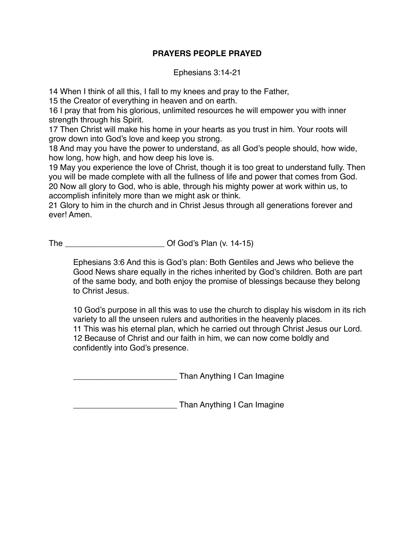## **PRAYERS PEOPLE PRAYED**

Ephesians 3:14-21

14 When I think of all this, I fall to my knees and pray to the Father,

15 the Creator of everything in heaven and on earth.

16 I pray that from his glorious, unlimited resources he will empower you with inner strength through his Spirit.

17 Then Christ will make his home in your hearts as you trust in him. Your roots will grow down into God's love and keep you strong.

18 And may you have the power to understand, as all God's people should, how wide, how long, how high, and how deep his love is.

19 May you experience the love of Christ, though it is too great to understand fully. Then you will be made complete with all the fullness of life and power that comes from God. 20 Now all glory to God, who is able, through his mighty power at work within us, to accomplish infinitely more than we might ask or think.

21 Glory to him in the church and in Christ Jesus through all generations forever and ever! Amen.

The **Call Contract Contract Contract Contract Contract Contract Contract Contract Contract Contract Contract Contract Contract Contract Contract Contract Contract Contract Contract Contract Contract Contract Contract Contr** 

Ephesians 3:6 And this is God's plan: Both Gentiles and Jews who believe the Good News share equally in the riches inherited by God's children. Both are part of the same body, and both enjoy the promise of blessings because they belong to Christ Jesus.

10 God's purpose in all this was to use the church to display his wisdom in its rich variety to all the unseen rulers and authorities in the heavenly places. 11 This was his eternal plan, which he carried out through Christ Jesus our Lord. 12 Because of Christ and our faith in him, we can now come boldly and confidently into God's presence.

\_\_\_\_\_\_\_\_\_\_\_\_\_\_\_\_\_\_\_\_\_\_\_ Than Anything I Can Imagine

\_\_\_\_\_\_\_\_\_\_\_\_\_\_\_\_\_\_\_\_\_\_\_ Than Anything I Can Imagine